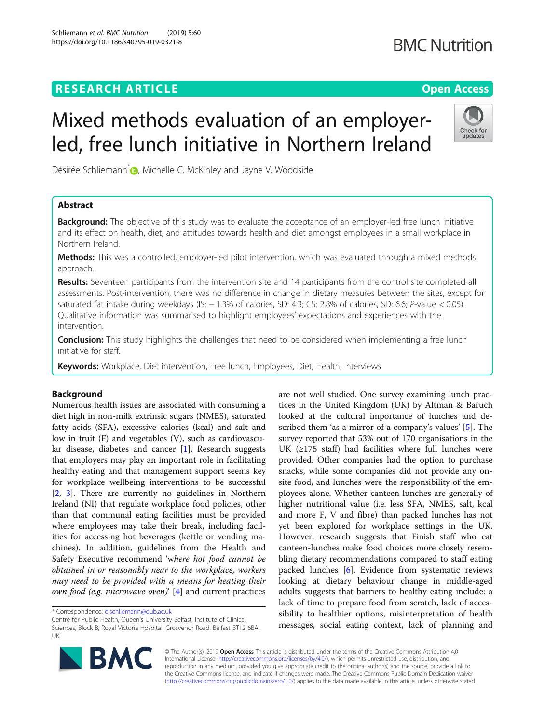# Mixed methods evaluation of an employerled, free lunch initiative in Northern Ireland

Désirée Schliemann<sup>[\\*](http://orcid.org/0000-0002-8746-3002)</sup> , Michelle C. McKinley and Jayne V. Woodside

# Abstract

**Background:** The objective of this study was to evaluate the acceptance of an employer-led free lunch initiative and its effect on health, diet, and attitudes towards health and diet amongst employees in a small workplace in Northern Ireland.

Methods: This was a controlled, employer-led pilot intervention, which was evaluated through a mixed methods approach.

Results: Seventeen participants from the intervention site and 14 participants from the control site completed all assessments. Post-intervention, there was no difference in change in dietary measures between the sites, except for saturated fat intake during weekdays (IS: − 1.3% of calories, SD: 4.3; CS: 2.8% of calories, SD: 6.6; P-value < 0.05). Qualitative information was summarised to highlight employees' expectations and experiences with the intervention.

**Conclusion:** This study highlights the challenges that need to be considered when implementing a free lunch initiative for staff.

Keywords: Workplace, Diet intervention, Free lunch, Employees, Diet, Health, Interviews

# Background

Numerous health issues are associated with consuming a diet high in non-milk extrinsic sugars (NMES), saturated fatty acids (SFA), excessive calories (kcal) and salt and low in fruit (F) and vegetables (V), such as cardiovascular disease, diabetes and cancer [\[1](#page-10-0)]. Research suggests that employers may play an important role in facilitating healthy eating and that management support seems key for workplace wellbeing interventions to be successful [[2,](#page-10-0) [3](#page-11-0)]. There are currently no guidelines in Northern Ireland (NI) that regulate workplace food policies, other than that communal eating facilities must be provided where employees may take their break, including facilities for accessing hot beverages (kettle or vending machines). In addition, guidelines from the Health and Safety Executive recommend 'where hot food cannot be obtained in or reasonably near to the workplace, workers may need to be provided with a means for heating their own food (e.g. microwave oven)' [[4\]](#page-11-0) and current practices

Centre for Public Health, Queen's University Belfast, Institute of Clinical Sciences, Block B, Royal Victoria Hospital, Grosvenor Road, Belfast BT12 6BA, UK

> © The Author(s). 2019 Open Access This article is distributed under the terms of the Creative Commons Attribution 4.0 International License [\(http://creativecommons.org/licenses/by/4.0/](http://creativecommons.org/licenses/by/4.0/)), which permits unrestricted use, distribution, and reproduction in any medium, provided you give appropriate credit to the original author(s) and the source, provide a link to the Creative Commons license, and indicate if changes were made. The Creative Commons Public Domain Dedication waiver [\(http://creativecommons.org/publicdomain/zero/1.0/](http://creativecommons.org/publicdomain/zero/1.0/)) applies to the data made available in this article, unless otherwise stated.

are not well studied. One survey examining lunch practices in the United Kingdom (UK) by Altman & Baruch looked at the cultural importance of lunches and described them 'as a mirror of a company's values' [\[5\]](#page-11-0). The survey reported that 53% out of 170 organisations in the UK ( $\geq$ 175 staff) had facilities where full lunches were provided. Other companies had the option to purchase snacks, while some companies did not provide any onsite food, and lunches were the responsibility of the employees alone. Whether canteen lunches are generally of higher nutritional value (i.e. less SFA, NMES, salt, kcal and more F, V and fibre) than packed lunches has not yet been explored for workplace settings in the UK. However, research suggests that Finish staff who eat canteen-lunches make food choices more closely resembling dietary recommendations compared to staff eating packed lunches [\[6](#page-11-0)]. Evidence from systematic reviews looking at dietary behaviour change in middle-aged adults suggests that barriers to healthy eating include: a lack of time to prepare food from scratch, lack of accessibility to healthier options, misinterpretation of health messages, social eating context, lack of planning and





<sup>\*</sup> Correspondence: [d.schliemann@qub.ac.uk](mailto:d.schliemann@qub.ac.uk)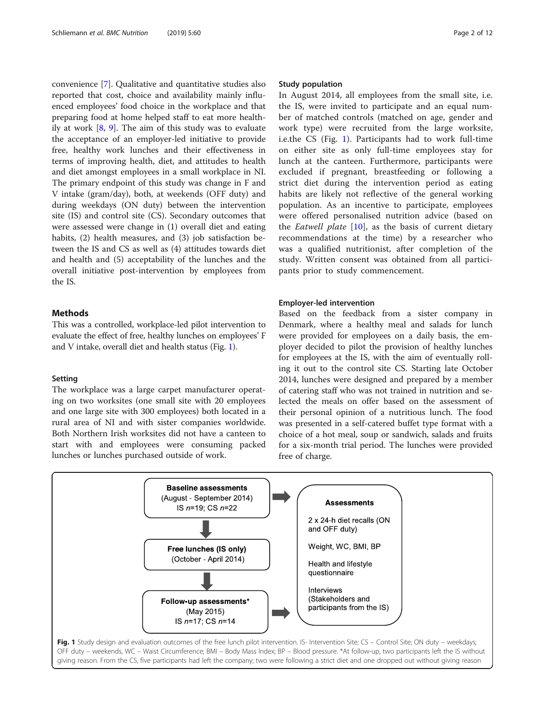<span id="page-1-0"></span>convenience [\[7](#page-11-0)]. Qualitative and quantitative studies also reported that cost, choice and availability mainly influenced employees' food choice in the workplace and that preparing food at home helped staff to eat more healthily at work  $[8, 9]$  $[8, 9]$  $[8, 9]$ . The aim of this study was to evaluate the acceptance of an employer-led initiative to provide free, healthy work lunches and their effectiveness in terms of improving health, diet, and attitudes to health and diet amongst employees in a small workplace in NI. The primary endpoint of this study was change in F and V intake (gram/day), both, at weekends (OFF duty) and during weekdays (ON duty) between the intervention site (IS) and control site (CS). Secondary outcomes that were assessed were change in (1) overall diet and eating habits, (2) health measures, and (3) job satisfaction between the IS and CS as well as (4) attitudes towards diet and health and (5) acceptability of the lunches and the overall initiative post-intervention by employees from the IS.

# **Methods**

This was a controlled, workplace-led pilot intervention to evaluate the effect of free, healthy lunches on employees' F and V intake, overall diet and health status (Fig. 1).

#### Setting

The workplace was a large carpet manufacturer operating on two worksites (one small site with 20 employees and one large site with 300 employees) both located in a rural area of NI and with sister companies worldwide. Both Northern Irish worksites did not have a canteen to start with and employees were consuming packed lunches or lunches purchased outside of work.

# Study population

In August 2014, all employees from the small site, i.e. the IS, were invited to participate and an equal number of matched controls (matched on age, gender and work type) were recruited from the large worksite, i.e.the CS (Fig. 1). Participants had to work full-time on either site as only full-time employees stay for lunch at the canteen. Furthermore, participants were excluded if pregnant, breastfeeding or following a strict diet during the intervention period as eating habits are likely not reflective of the general working population. As an incentive to participate, employees were offered personalised nutrition advice (based on the *Eatwell plate*  $[10]$  $[10]$ , as the basis of current dietary recommendations at the time) by a researcher who was a qualified nutritionist, after completion of the study. Written consent was obtained from all participants prior to study commencement.

# Employer-led intervention

Based on the feedback from a sister company in Denmark, where a healthy meal and salads for lunch were provided for employees on a daily basis, the employer decided to pilot the provision of healthy lunches for employees at the IS, with the aim of eventually rolling it out to the control site CS. Starting late October 2014, lunches were designed and prepared by a member of catering staff who was not trained in nutrition and selected the meals on offer based on the assessment of their personal opinion of a nutritious lunch. The food was presented in a self-catered buffet type format with a choice of a hot meal, soup or sandwich, salads and fruits for a six-month trial period. The lunches were provided free of charge.

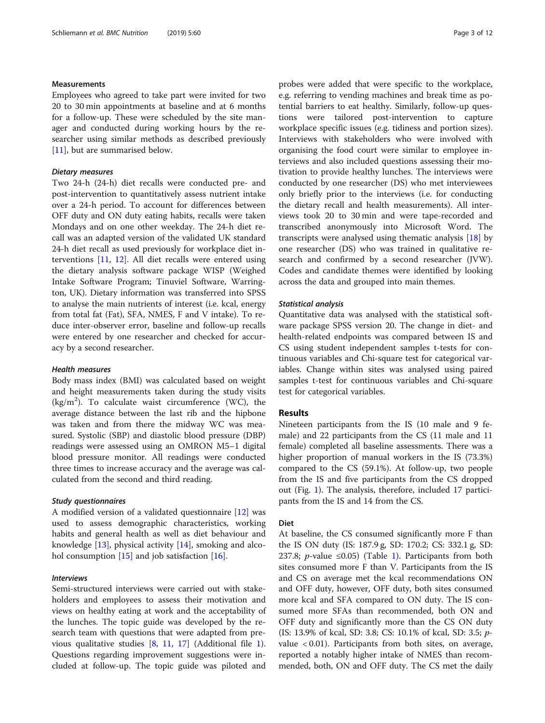#### **Measurements**

Employees who agreed to take part were invited for two 20 to 30 min appointments at baseline and at 6 months for a follow-up. These were scheduled by the site manager and conducted during working hours by the researcher using similar methods as described previously [[11\]](#page-11-0), but are summarised below.

#### Dietary measures

Two 24-h (24-h) diet recalls were conducted pre- and post-intervention to quantitatively assess nutrient intake over a 24-h period. To account for differences between OFF duty and ON duty eating habits, recalls were taken Mondays and on one other weekday. The 24-h diet recall was an adapted version of the validated UK standard 24-h diet recall as used previously for workplace diet interventions [[11](#page-11-0), [12](#page-11-0)]. All diet recalls were entered using the dietary analysis software package WISP (Weighed Intake Software Program; Tinuviel Software, Warrington, UK). Dietary information was transferred into SPSS to analyse the main nutrients of interest (i.e. kcal, energy from total fat (Fat), SFA, NMES, F and V intake). To reduce inter-observer error, baseline and follow-up recalls were entered by one researcher and checked for accuracy by a second researcher.

# Health measures

Body mass index (BMI) was calculated based on weight and height measurements taken during the study visits  $(kg/m<sup>2</sup>)$ . To calculate waist circumference (WC), the average distance between the last rib and the hipbone was taken and from there the midway WC was measured. Systolic (SBP) and diastolic blood pressure (DBP) readings were assessed using an OMRON M5–1 digital blood pressure monitor. All readings were conducted three times to increase accuracy and the average was calculated from the second and third reading.

## Study questionnaires

A modified version of a validated questionnaire [\[12](#page-11-0)] was used to assess demographic characteristics, working habits and general health as well as diet behaviour and knowledge  $[13]$  $[13]$  $[13]$ , physical activity  $[14]$ , smoking and alcohol consumption  $[15]$  $[15]$  and job satisfaction  $[16]$  $[16]$  $[16]$ .

#### Interviews

Semi-structured interviews were carried out with stakeholders and employees to assess their motivation and views on healthy eating at work and the acceptability of the lunches. The topic guide was developed by the research team with questions that were adapted from previous qualitative studies  $[8, 11, 17]$  $[8, 11, 17]$  $[8, 11, 17]$  $[8, 11, 17]$  $[8, 11, 17]$  $[8, 11, 17]$  $[8, 11, 17]$  (Additional file [1](#page-10-0)). Questions regarding improvement suggestions were included at follow-up. The topic guide was piloted and probes were added that were specific to the workplace, e.g. referring to vending machines and break time as potential barriers to eat healthy. Similarly, follow-up questions were tailored post-intervention to capture workplace specific issues (e.g. tidiness and portion sizes). Interviews with stakeholders who were involved with organising the food court were similar to employee interviews and also included questions assessing their motivation to provide healthy lunches. The interviews were conducted by one researcher (DS) who met interviewees only briefly prior to the interviews (i.e. for conducting the dietary recall and health measurements). All interviews took 20 to 30 min and were tape-recorded and transcribed anonymously into Microsoft Word. The transcripts were analysed using thematic analysis [[18\]](#page-11-0) by one researcher (DS) who was trained in qualitative research and confirmed by a second researcher (JVW). Codes and candidate themes were identified by looking across the data and grouped into main themes.

## Statistical analysis

Quantitative data was analysed with the statistical software package SPSS version 20. The change in diet- and health-related endpoints was compared between IS and CS using student independent samples t-tests for continuous variables and Chi-square test for categorical variables. Change within sites was analysed using paired samples t-test for continuous variables and Chi-square test for categorical variables.

# Results

Nineteen participants from the IS (10 male and 9 female) and 22 participants from the CS (11 male and 11 female) completed all baseline assessments. There was a higher proportion of manual workers in the IS (73.3%) compared to the CS (59.1%). At follow-up, two people from the IS and five participants from the CS dropped out (Fig. [1](#page-1-0)). The analysis, therefore, included 17 participants from the IS and 14 from the CS.

## Diet

At baseline, the CS consumed significantly more F than the IS ON duty (IS: 187.9 g, SD: 170.2; CS: 332.1 g, SD: 237.8; *p*-value  $\leq 0.05$ ) (Table [1\)](#page-3-0). Participants from both sites consumed more F than V. Participants from the IS and CS on average met the kcal recommendations ON and OFF duty, however, OFF duty, both sites consumed more kcal and SFA compared to ON duty. The IS consumed more SFAs than recommended, both ON and OFF duty and significantly more than the CS ON duty (IS: 13.9% of kcal, SD: 3.8; CS: 10.1% of kcal, SD: 3.5; pvalue < 0.01). Participants from both sites, on average, reported a notably higher intake of NMES than recommended, both, ON and OFF duty. The CS met the daily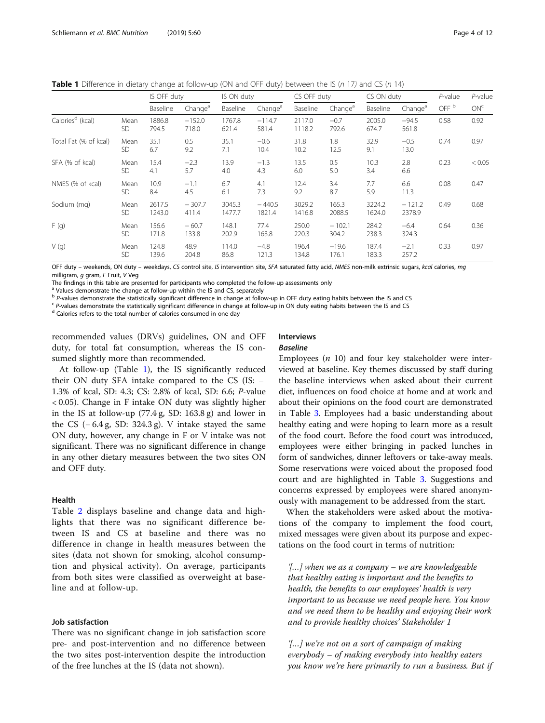<span id="page-3-0"></span>**Table 1** Difference in dietary change at follow-up (ON and OFF duty) between the IS (n 17) and CS (n 14)

|                              |                   | IS OFF duty      |                     | IS ON duty       |                     | CS OFF duty      |                     | CS ON duty       |                     | P-value          | $P$ -value      |
|------------------------------|-------------------|------------------|---------------------|------------------|---------------------|------------------|---------------------|------------------|---------------------|------------------|-----------------|
|                              |                   | Baseline         | Change <sup>a</sup> | Baseline         | Change <sup>a</sup> | Baseline         | Change <sup>a</sup> | Baseline         | Change <sup>a</sup> | OFF <sup>b</sup> | ON <sup>c</sup> |
| Calories <sup>d</sup> (kcal) | Mean<br><b>SD</b> | 1886.8<br>794.5  | $-152.0$<br>718.0   | 1767.8<br>621.4  | $-114.7$<br>581.4   | 2117.0<br>1118.2 | $-0.7$<br>792.6     | 2005.0<br>674.7  | $-94.5$<br>561.8    | 0.58             | 0.92            |
| Total Fat (% of kcal)        | Mean<br><b>SD</b> | 35.1<br>6.7      | 0.5<br>9.2          | 35.1<br>7.1      | $-0.6$<br>10.4      | 31.8<br>10.2     | 1.8<br>12.5         | 32.9<br>9.1      | $-0.5$<br>13.0      | 0.74             | 0.97            |
| SFA (% of kcal)              | Mean<br><b>SD</b> | 15.4<br>4.1      | $-2.3$<br>5.7       | 13.9<br>4.0      | $-1.3$<br>4.3       | 13.5<br>6.0      | 0.5<br>5.0          | 10.3<br>3.4      | 2.8<br>6.6          | 0.23             | < 0.05          |
| NMES (% of kcal)             | Mean<br><b>SD</b> | 10.9<br>8.4      | $-1.1$<br>4.5       | 6.7<br>6.1       | 4.1<br>7.3          | 12.4<br>9.2      | 3.4<br>8.7          | 7.7<br>5.9       | 6.6<br>11.3         | 0.08             | 0.47            |
| Sodium (mg)                  | Mean<br><b>SD</b> | 2617.5<br>1243.0 | $-307.7$<br>411.4   | 3045.3<br>1477.7 | $-440.5$<br>1821.4  | 3029.2<br>1416.8 | 165.3<br>2088.5     | 3224.2<br>1624.0 | $-121.2$<br>2378.9  | 0.49             | 0.68            |
| F(q)                         | Mean<br><b>SD</b> | 156.6<br>171.8   | $-60.7$<br>133.8    | 148.1<br>202.9   | 77.4<br>163.8       | 250.0<br>220.3   | $-102.1$<br>304.2   | 284.2<br>238.3   | $-6.4$<br>324.3     | 0.64             | 0.36            |
| V(q)                         | Mean<br><b>SD</b> | 124.8<br>139.6   | 48.9<br>204.8       | 114.0<br>86.8    | $-4.8$<br>121.3     | 196.4<br>134.8   | $-19.6$<br>176.1    | 187.4<br>183.3   | $-2.1$<br>257.2     | 0.33             | 0.97            |

OFF duty – weekends, ON duty – weekdays, CS control site, IS intervention site, SFA saturated fatty acid, NMES non-milk extrinsic sugars, kcal calories, mg milligram, a gram, F Fruit, V Veg

The findings in this table are presented for participants who completed the follow-up assessments only

<sup>a</sup> Values demonstrate the change at follow-up within the IS and CS, separately

b P-values demonstrate the statistically significant difference in change at follow-up in OFF duty eating habits between the IS and CS conditions of the US conditions of the IS and CS conditions of the IS and CS conditions

 $\text{P-values}$  demonstrate the statistically significant difference in change at follow-up in ON duty eating habits between the IS and CS d Calories refers to the total number of calories consumed in one day

recommended values (DRVs) guidelines, ON and OFF duty, for total fat consumption, whereas the IS consumed slightly more than recommended.

# Interviews Baseline

At follow-up (Table 1), the IS significantly reduced their ON duty SFA intake compared to the CS (IS: − 1.3% of kcal, SD: 4.3; CS: 2.8% of kcal, SD: 6.6; P-value < 0.05). Change in F intake ON duty was slightly higher in the IS at follow-up (77.4 g, SD: 163.8 g) and lower in the CS  $(-6.4 \text{ g}, SD: 324.3 \text{ g})$ . V intake stayed the same ON duty, however, any change in F or V intake was not significant. There was no significant difference in change in any other dietary measures between the two sites ON and OFF duty.

#### Health

Table [2](#page-4-0) displays baseline and change data and highlights that there was no significant difference between IS and CS at baseline and there was no difference in change in health measures between the sites (data not shown for smoking, alcohol consumption and physical activity). On average, participants from both sites were classified as overweight at baseline and at follow-up.

# Job satisfaction

There was no significant change in job satisfaction score pre- and post-intervention and no difference between the two sites post-intervention despite the introduction of the free lunches at the IS (data not shown).

Employees  $(n 10)$  and four key stakeholder were interviewed at baseline. Key themes discussed by staff during the baseline interviews when asked about their current diet, influences on food choice at home and at work and about their opinions on the food court are demonstrated in Table [3](#page-5-0). Employees had a basic understanding about healthy eating and were hoping to learn more as a result of the food court. Before the food court was introduced, employees were either bringing in packed lunches in form of sandwiches, dinner leftovers or take-away meals. Some reservations were voiced about the proposed food court and are highlighted in Table [3.](#page-5-0) Suggestions and concerns expressed by employees were shared anonymously with management to be addressed from the start.

When the stakeholders were asked about the motivations of the company to implement the food court, mixed messages were given about its purpose and expectations on the food court in terms of nutrition:

'[…] when we as a company – we are knowledgeable that healthy eating is important and the benefits to health, the benefits to our employees' health is very important to us because we need people here. You know and we need them to be healthy and enjoying their work and to provide healthy choices' Stakeholder 1

'[…] we're not on a sort of campaign of making everybody – of making everybody into healthy eaters you know we're here primarily to run a business. But if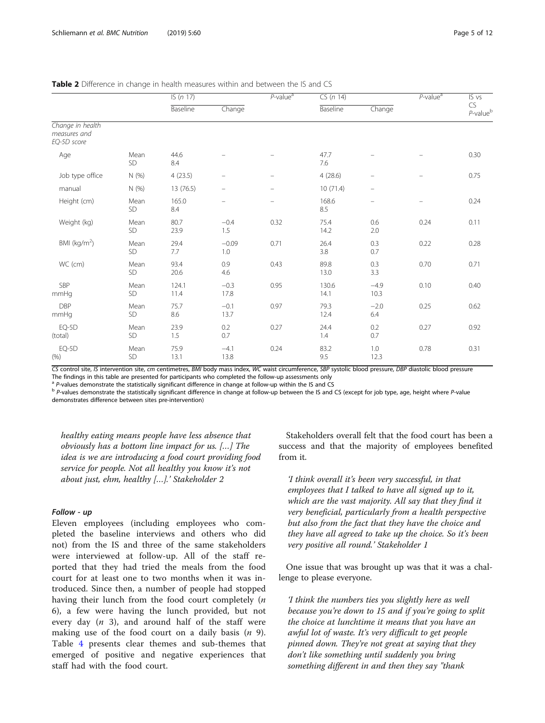<span id="page-4-0"></span>

| <b>Table 2</b> Difference in change in health measures within and between the IS and CS |  |  |  |
|-----------------------------------------------------------------------------------------|--|--|--|
|                                                                                         |  |  |  |

|                                                 |            | IS $(n 17)$     |                          | $P$ -value <sup>a</sup>  | CS(n14)         |                          | $P$ -value <sup>a</sup> | IS <sub>vs</sub>     |
|-------------------------------------------------|------------|-----------------|--------------------------|--------------------------|-----------------|--------------------------|-------------------------|----------------------|
|                                                 |            | <b>Baseline</b> | Change                   |                          | <b>Baseline</b> | Change                   |                         | CS<br>$P$ -value $b$ |
| Change in health<br>measures and<br>EQ-5D score |            |                 |                          |                          |                 |                          |                         |                      |
| Age                                             | Mean<br>SD | 44.6<br>8.4     |                          |                          | 47.7<br>7.6     |                          |                         | 0.30                 |
| Job type office                                 | N (%)      | 4(23.5)         | $\overline{\phantom{0}}$ | $\qquad \qquad -$        | 4(28.6)         | $\overline{\phantom{0}}$ |                         | 0.75                 |
| manual                                          | N (%)      | 13 (76.5)       | $\overline{\phantom{m}}$ | $\overline{\phantom{m}}$ | 10 (71.4)       | $\qquad \qquad -$        |                         |                      |
| Height (cm)                                     | Mean<br>SD | 165.0<br>8.4    | ÷                        | $\overline{\phantom{m}}$ | 168.6<br>8.5    | $\qquad \qquad -$        | $\qquad \qquad -$       | 0.24                 |
| Weight (kg)                                     | Mean<br>SD | 80.7<br>23.9    | $-0.4$<br>1.5            | 0.32                     | 75.4<br>14.2    | 0.6<br>2.0               | 0.24                    | 0.11                 |
| BMI ( $kg/m2$ )                                 | Mean<br>SD | 29.4<br>7.7     | $-0.09$<br>1.0           | 0.71                     | 26.4<br>3.8     | 0.3<br>0.7               | 0.22                    | 0.28                 |
| WC (cm)                                         | Mean<br>SD | 93.4<br>20.6    | 0.9<br>4.6               | 0.43                     | 89.8<br>13.0    | 0.3<br>3.3               | 0.70                    | 0.71                 |
| SBP<br>mmHq                                     | Mean<br>SD | 124.1<br>11.4   | $-0.3$<br>17.8           | 0.95                     | 130.6<br>14.1   | $-4.9$<br>10.3           | 0.10                    | 0.40                 |
| <b>DBP</b><br>mmHg                              | Mean<br>SD | 75.7<br>8.6     | $-0.1$<br>13.7           | 0.97                     | 79.3<br>12.4    | $-2.0$<br>$6.4\,$        | 0.25                    | 0.62                 |
| EQ-5D<br>(total)                                | Mean<br>SD | 23.9<br>1.5     | 0.2<br>0.7               | 0.27                     | 24.4<br>1.4     | 0.2<br>0.7               | 0.27                    | 0.92                 |
| $EQ-5D$<br>(% )                                 | Mean<br>SD | 75.9<br>13.1    | $-4.1$<br>13.8           | 0.24                     | 83.2<br>9.5     | $1.0\,$<br>12.3          | 0.78                    | 0.31                 |

CS control site, IS intervention site, cm centimetres, BMI body mass index, WC waist circumference, SBP systolic blood pressure, DBP diastolic blood pressure The findings in this table are presented for participants who completed the follow-up assessments only

<sup>a</sup> P-values demonstrate the statistically significant difference in change at follow-up within the IS and CS below the IS and the band contained by a band to be a band to be a band to be a band to be a band to be a band t

<sup>b</sup> P-values demonstrate the statistically significant difference in change at follow-up between the IS and CS (except for job type, age, height where P-value demonstrates difference between sites pre-intervention)

healthy eating means people have less absence that obviously has a bottom line impact for us. […] The idea is we are introducing a food court providing food service for people. Not all healthy you know it's not about just, ehm, healthy […].' Stakeholder 2

#### Follow - up

Eleven employees (including employees who completed the baseline interviews and others who did not) from the IS and three of the same stakeholders were interviewed at follow-up. All of the staff reported that they had tried the meals from the food court for at least one to two months when it was introduced. Since then, a number of people had stopped having their lunch from the food court completely (*n* 6), a few were having the lunch provided, but not every day  $(n 3)$ , and around half of the staff were making use of the food court on a daily basis  $(n, 9)$ . Table [4](#page-7-0) presents clear themes and sub-themes that emerged of positive and negative experiences that staff had with the food court.

Stakeholders overall felt that the food court has been a success and that the majority of employees benefited from it.

'I think overall it's been very successful, in that employees that I talked to have all signed up to it, which are the vast majority. All say that they find it very beneficial, particularly from a health perspective but also from the fact that they have the choice and they have all agreed to take up the choice. So it's been very positive all round.' Stakeholder 1

One issue that was brought up was that it was a challenge to please everyone.

'I think the numbers ties you slightly here as well because you're down to 15 and if you're going to split the choice at lunchtime it means that you have an awful lot of waste. It's very difficult to get people pinned down. They're not great at saying that they don't like something until suddenly you bring something different in and then they say "thank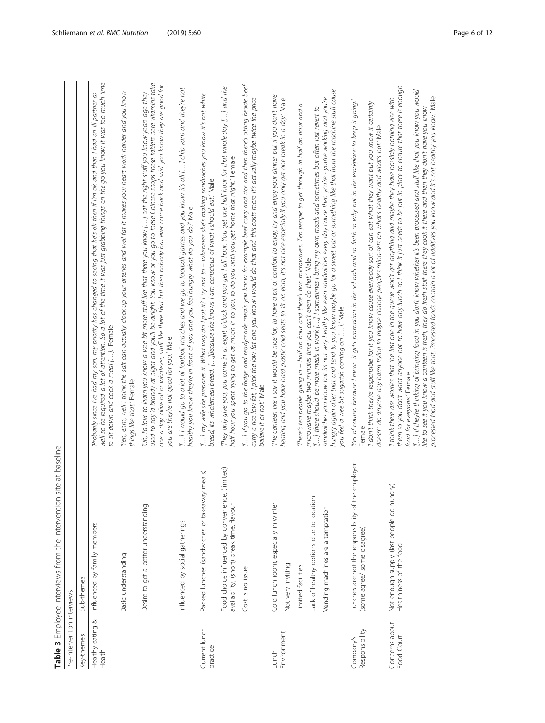| $\frac{1}{2}$                                                                                 |
|-----------------------------------------------------------------------------------------------|
| i<br>)<br>5                                                                                   |
| ゴリンシ                                                                                          |
|                                                                                               |
|                                                                                               |
| $\vdots$                                                                                      |
|                                                                                               |
| ׅׅׅ֧֧֧֧֧֧֧֧֪ׅ֧֧֧֧֧֧֧֧֚֚֚֚֚֚֚֚֚֚֚֚֚֚֚֚֚֚֚֚֚֚֚֚֚֚֝֘֝֘֝֝֡֡֓֡֡֬֓֡֬֓֓֝֓֝֬֝֓֝֬֝֬֝֓֝֬֓֝֬֝֬֝֬֝֬֝֬֝֬֝  |
| <b>A E</b> mployant intensional end that intensional end intensional end.<br>j<br>.<br>]<br>ı |
| ŋ                                                                                             |
| ;<br>Ĭ,                                                                                       |

<span id="page-5-0"></span>

| Pre-intervention interviews  |                                                                                                    |                                                                                                                                                                                                                                                                                                                                                                                                                                                                                                                                                                                                                                                                                                           |
|------------------------------|----------------------------------------------------------------------------------------------------|-----------------------------------------------------------------------------------------------------------------------------------------------------------------------------------------------------------------------------------------------------------------------------------------------------------------------------------------------------------------------------------------------------------------------------------------------------------------------------------------------------------------------------------------------------------------------------------------------------------------------------------------------------------------------------------------------------------|
| Key-themes                   | Sub-themes                                                                                         |                                                                                                                                                                                                                                                                                                                                                                                                                                                                                                                                                                                                                                                                                                           |
| Healthy eating &<br>Health   | Influenced by family members                                                                       | well so he required a lot of attention. So a lot of the time it was just grabbing things on the go you know it was too much time<br>Probably since I've had my son, my priority has changed to seeing that he's ok then if I'm ok and then I had an ill partner as<br>to sit down and cook a meal []'. Female                                                                                                                                                                                                                                                                                                                                                                                             |
|                              | Basic understanding                                                                                | Yeh, ehm, well I think the salt can actually clock up your arteries and well fat it makes your heart work harder and you know<br>things like that.' Female                                                                                                                                                                                                                                                                                                                                                                                                                                                                                                                                                |
|                              | Desire to get a better understanding                                                               | used to say 'a brandy at night and you'll be alright. You know or you go to these Chinese shops these tablets here vitamins take<br>one a day, olive oil or whatever, stuff like there that but then nobody has ever come back and said you know they are good for<br>Oh, I'd love to learn you know a wee bit more stuff like that there you know […] eat the right stuff you know years ago they<br>you are they're not good for you.' Male                                                                                                                                                                                                                                                             |
|                              | Influenced by social gatherings                                                                    | [. ] I would go to a lot of football matches and we go to football games and you know it's all [. . ] chip vans and they're not<br>healthy you know they're in front of you and you feel hungry what do you do?' Male                                                                                                                                                                                                                                                                                                                                                                                                                                                                                     |
| Current lunch<br>practice    | Packed lunches (sandwiches or takeaway meals)                                                      | [] my wife she prepares it. What way do I put it? I try not to – whenever she's making sandwiches you know it's not white<br>bread, its wholemeal bread. []Because she knows I am conscious of what I should eat.' Male                                                                                                                                                                                                                                                                                                                                                                                                                                                                                   |
|                              | Food choice influenced by convenience, (limited)<br>availability, (short) break time, flavour      | They only give you, you come in at eight o'clock and you get half hour. You get one half hour for that whole day [. ] and the<br>half hour you spent trying to get as much in to you, to do you until you get home that night.' Female                                                                                                                                                                                                                                                                                                                                                                                                                                                                    |
|                              | Cost is no issue                                                                                   | [. ] if you go to the fridge and readymade meals you know for example beef curry and rice and then there's sitting beside beef<br>cuny a rice low fat, I pick the low fat one you know I would do that and this costs more it's actually maybe twice the price<br>believe it or not.' Male                                                                                                                                                                                                                                                                                                                                                                                                                |
| Environment<br>Lunch         | Cold lunch room, especially in winter<br>Not very inviting                                         | The canteen like I say it would be nice for, to have a bit of comfort to enjoy, try and enjoy your dinner but if you don't have<br>heating and you have hard plastic cold seats to sit on ehm, it's not nice especially if you only get one break in a day.' Male                                                                                                                                                                                                                                                                                                                                                                                                                                         |
|                              | Lack of healthy options due to location<br>Vending machines are a temptation<br>Limited facilities | hungry again after that and to you know maybe go for a sweet bar or something like that from the machine stuff cause<br>sandwiches you know but its not very healthy like even sandwiches every day cause then you're - you're working and you're<br>There's ten people going in – half an hour and there's two microwaves. Ten people to get through in half an hour and a<br>[[…] there should be more meals in work […] I sometimes I bring my own meals and sometimes but often just revert to<br>microwave maybe two minutes time you can't even do that.' Male<br>you feel a wee bit sugarish coming on [].' Male                                                                                   |
| Responsibility<br>Company's  | Lunches are not the responsibility of the employer<br>(some agree/ some disagree)                  | "Yes of course, because I mean it gets promotion in the schools and so forth so why not in the workplace to keep it going."<br>'I don't think they're responsible for it you know cause everybody sort of can eat what they want but you know it certainly<br>doesn't do anyone any harm trying to maybe change people's mind-sets on what's healthy and what's not.' Male<br>Female                                                                                                                                                                                                                                                                                                                      |
| Concerns about<br>Food Court | Not enough supply (last people go hungry)<br>Healthiness of the food                               | them so you don't want anyone not to have any lunch so I think it just needs to be put in place to ensure that there is enough<br>$\mathit{f} \ldots$ If they're thinking of bringing food in you don't know whether it's been processed and stuff like that you know you would<br>processed food and stuff like that. Processed foods contain a lot of additives you know and it's not healthy you know.' Male<br>I think there are worries that the last one in the queue won't get anything and maybe they have possibly nothing else with<br>like to see it you know a canteen is fresh, they do fresh stuff there they cook it there and then they don't have you know<br>food for everyone.' Female |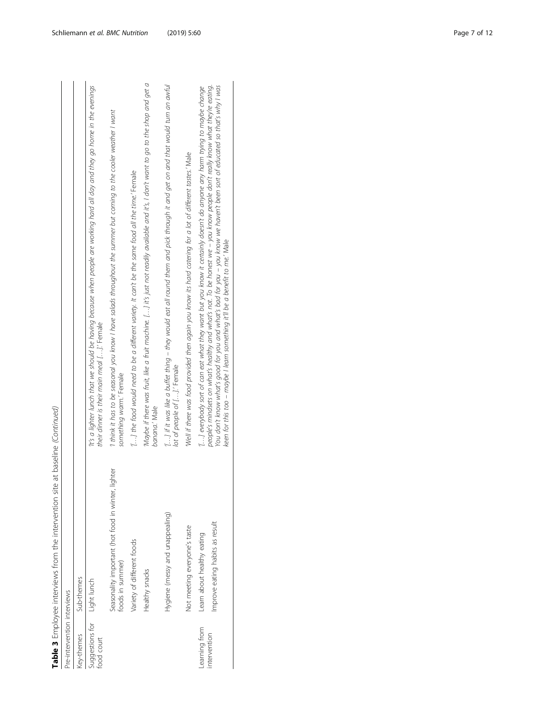| . המו+מות //<br>I                                          |
|------------------------------------------------------------|
|                                                            |
| $\tilde{\Omega}$                                           |
|                                                            |
|                                                            |
|                                                            |
|                                                            |
|                                                            |
| うっこう ソンラーミ                                                 |
|                                                            |
|                                                            |
|                                                            |
|                                                            |
|                                                            |
|                                                            |
|                                                            |
|                                                            |
|                                                            |
|                                                            |
| $\frac{1}{2}$                                              |
| $\frac{1}{2}$                                              |
|                                                            |
|                                                            |
| $\frac{1}{2}$                                              |
|                                                            |
|                                                            |
|                                                            |
|                                                            |
|                                                            |
|                                                            |
|                                                            |
|                                                            |
| . Important intensiess trom the intension cite at hacelit. |
|                                                            |
|                                                            |
|                                                            |
|                                                            |
|                                                            |
|                                                            |
| $\frac{1}{2}$                                              |
| Table 3                                                    |
|                                                            |
|                                                            |
|                                                            |
|                                                            |

| Pre-intervention interviews               |                                                                        |                                                                                                                                                                                                                                                                                                                                                                                                                                                                      |
|-------------------------------------------|------------------------------------------------------------------------|----------------------------------------------------------------------------------------------------------------------------------------------------------------------------------------------------------------------------------------------------------------------------------------------------------------------------------------------------------------------------------------------------------------------------------------------------------------------|
| Key-themes                                | Sub-themes                                                             |                                                                                                                                                                                                                                                                                                                                                                                                                                                                      |
| Suggestions for Light lunch<br>food court |                                                                        | It's a lighter lunch that we should be having because when people are working hard all day and they go home in the evenings<br>their dinner is their main meal [].' Female                                                                                                                                                                                                                                                                                           |
|                                           | seasonality important (hot food in winter, lighter<br>foods in summer) | I think it has to be seasonal you know I have salads throughout the summer but coming to the cooler weather I want<br>something warm.' Female                                                                                                                                                                                                                                                                                                                        |
|                                           | Variety of different foods                                             | '[] the food would need to be a different variety. It can't be the same food all the time.' Female                                                                                                                                                                                                                                                                                                                                                                   |
|                                           | Healthy snacks                                                         | Maybe if there was fruit, like a fruit machine. […] it's just not readily available and it's, I don't want to go to the shop and get a<br>banana.' Male                                                                                                                                                                                                                                                                                                              |
|                                           | Hygiene (messy and unappealing)                                        | [] if it was like a buffet thing – they would eat all round them and pick through it and get on and that would turn an awful<br>lot of people of []'. Female                                                                                                                                                                                                                                                                                                         |
|                                           | Not meeting everyone's taste                                           | 'Well if there was food provided then again you know its hard catering for a lot of different tastes.' Male                                                                                                                                                                                                                                                                                                                                                          |
| earning from<br>intervention              | mprove eating habits as result<br>Learn about healthy eating           | You don't know what's good for you and what's bad for you – you know we haven't been sort of educated so that's why I was<br>people's mindsets on what's healthy and what's not. To be honest we – you know people don't really know what they're eatina,<br>[…] everybody sort of can eat what they want but you know it certainly doesn't do anyone any harm trying to maybe change<br>keen for this too – maybe I learn something it'll be a benefit to me.' Male |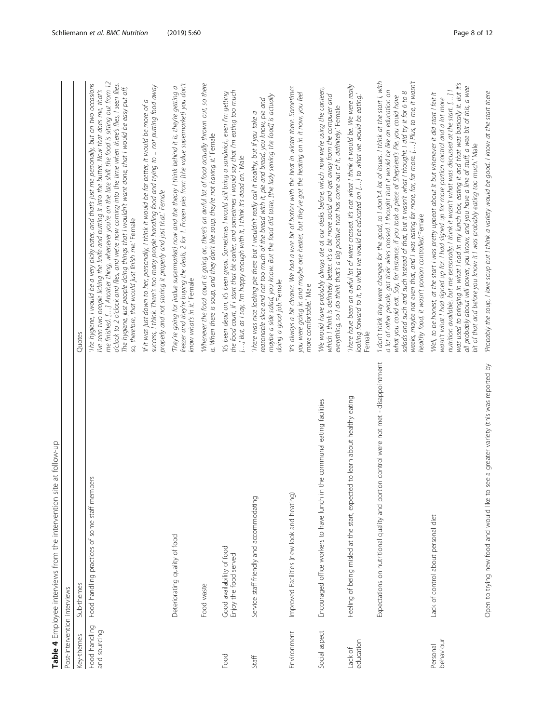<span id="page-7-0"></span>

|                               | Table 4 Employee interviews from the intervention site at follow-up                       |                                                                                                                                                                                                                                                                                                                                                                                                                                                                                                                                                                                      |
|-------------------------------|-------------------------------------------------------------------------------------------|--------------------------------------------------------------------------------------------------------------------------------------------------------------------------------------------------------------------------------------------------------------------------------------------------------------------------------------------------------------------------------------------------------------------------------------------------------------------------------------------------------------------------------------------------------------------------------------|
| Post-intervention interviews  |                                                                                           |                                                                                                                                                                                                                                                                                                                                                                                                                                                                                                                                                                                      |
| Key-themes                    | Sub-themes                                                                                | Quotes                                                                                                                                                                                                                                                                                                                                                                                                                                                                                                                                                                               |
| Food handling<br>and sourcing | Food handling practices of some staff members                                             | me finished. [] Another thing, whenever you're on the late shift the food is sitting out from 12<br>o'clock to 2 o'clock and flies, and we're now coming into the time when there's flies, I seen flies.<br>The hygiene, I would be a very picky eater, and that's just me personally, but on two occasions<br>The hygiene, just people doing things that I wouldn't want done, that I would be easy put off,<br>I've seen two people licking the knife and putting it into the butter. Now that does me, that's<br>so, therefore, that would just finish me.' Female                |
|                               |                                                                                           | success, I think. There's too many people handling food and trying to  not putting food away<br>If it was just down to her, personally, I think it would be far better, it would be more of a<br>properly and not storing it properly and just that.' Female                                                                                                                                                                                                                                                                                                                         |
|                               | Deteriorating quality of food                                                             | freezer and they're buying the deals, 2 for 1. Frozen pies from [the value supermarket] you don't<br>They're going for [value supermarket] now and the theory I think behind it is, they're getting a<br>know what's in it.' Female                                                                                                                                                                                                                                                                                                                                                  |
|                               | Food waste                                                                                | Whenever the food court is going on, there's an awful lot of food actually thrown out, so there<br>is. When there is soup, and they don't like soup, they're not having it.' Female                                                                                                                                                                                                                                                                                                                                                                                                  |
| Food                          | Good availability of food<br>Enjoy the food served                                        | the food court, if I start that bit earlier, and sometimes I would say that I'm eating too much<br>It's been dead on, it's been great. Sometimes I would still bring a sandwich, even I'm getting<br>[] But, as I say, I'm happy enough with it, I think it's dead on.' Male                                                                                                                                                                                                                                                                                                         |
| Staff                         | Service staff friendly and accommodating                                                  | maybe a side salad, you know. But the food did taste, [the lady serving the food] is actually<br>reasonable slice and not too much of the bread with it, pie and bread, you know, pie and<br>There was nice looking pie there but I wouldn't really call it healthy, but if you take a<br>doing a good job. Female                                                                                                                                                                                                                                                                   |
| Environment                   | Improved Facilities (new look and heating)                                                | It's always a bit cleaner. We had a wee bit of bother with the heat in winter there. Sometimes<br>you were going in and maybe one heater, but they've got the heating on in it now, you feel<br>more comfortable.' Male                                                                                                                                                                                                                                                                                                                                                              |
| Social aspect                 | Encouraged office workers to have lunch in the communal eating facilities                 | We would have probably always ate at our desks before, which now we're using the canteen,<br>which I think is definitely better. It's a bit more social and get away from the computer and<br>everything, so I do think that's a big positive that has come out of it, definitely.' Female                                                                                                                                                                                                                                                                                           |
| education<br>Lack of          | Feeling of being misled at the start, expected to learn about healthy eating              | There have been an awful lot of wires crossed. It's not what I think it would be. We were really<br>looking forward to it, to what we would be educated on [] to what we would be eating.'<br>Female                                                                                                                                                                                                                                                                                                                                                                                 |
|                               | tion control were not met - disappointment<br>Expectations on nutritional quality and por | I don't think they were changes for the good, so I don't.A lot of issues. I think at the start I, with<br>weeks, maybe not even that, and I was eating far more, far, far more. [] Plus, to me, it wasn't<br>a lot of other people, got their wires crossed. I thought that it would be like an education on<br>salads and such and such instead of that, but it wasn't what I thought. I did try it for 6 to 8<br>what you could eat. Say, for instance, if you took a piece of Shepherd's Pie, you could have<br>healthy food, it wasn't portion controlled. Female                |
| behaviour<br>Personal         | Lack of control about personal diet                                                       | was used to bringing in what I had in my lunch box, eating it and that was basically it. But it's<br>all probably about will power, you know, and you have a line of stuff, a wee bit of this, a wee<br>nutrition available, but me personally; I think it wasn't what was discussed at the start. [] I<br>Well, to be honest, at the start I was pretty upbeat about it but whenever it did start I felt it<br>wasn't what I had signed up for. I had signed up for more portion control and a lot more<br>bit of that and before you know it I was probably eating too much.' Male |
|                               | Open to trying new food and would like to see a greater variety (this was reported by     | Probably the soup, I love soup but I think a variety would be good. I know at the start there                                                                                                                                                                                                                                                                                                                                                                                                                                                                                        |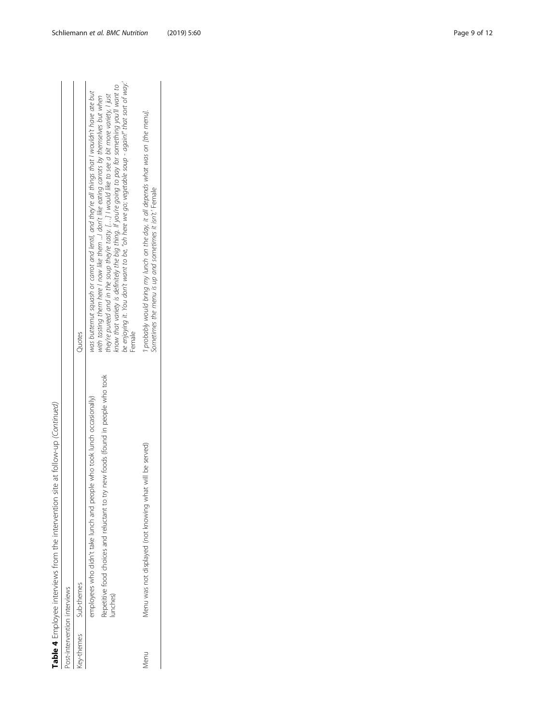Table 4 Employee interviews from the intervention site at follow-up (Continued) **Table 4** Employee interviews from the intervention site at follow-up (Continued)

|      | Post-intervention interviews                                                                                                                                              |                                                                                                                                                                                                                                                                                                                                                                                                                                                                                                                     |
|------|---------------------------------------------------------------------------------------------------------------------------------------------------------------------------|---------------------------------------------------------------------------------------------------------------------------------------------------------------------------------------------------------------------------------------------------------------------------------------------------------------------------------------------------------------------------------------------------------------------------------------------------------------------------------------------------------------------|
|      | Key-themes Sub-themes                                                                                                                                                     | Quotes                                                                                                                                                                                                                                                                                                                                                                                                                                                                                                              |
|      | new foods (found in people who took<br>employees who didn't take lunch and people who took lunch occasionally)<br>Repetitive food choices and reluctant to try<br>unches) | be enjoying it. You don't want to be, "oh here we go; vegetable soup - again!" that sort of way.'<br>inow that variety is definitely the big thing. If you're going to pay for something you'll want to<br>was butternut squash or carrot and lentil, and they're all things that I wouldn't have ate but<br>they're pureed and in the soup they're tasty. [] I would like to see a bit more variety, I just<br>with tasting them here I now like them I don't like eating carrots by themselves but when<br>Female |
| Venu | will be served)<br>Menu was not displayed (not knowing what                                                                                                               | 'I probably would bring my lunch on the day, it all depends what was on [the menu].<br>Sometimes the menu is up and sometimes it isn't.' Female                                                                                                                                                                                                                                                                                                                                                                     |
|      |                                                                                                                                                                           |                                                                                                                                                                                                                                                                                                                                                                                                                                                                                                                     |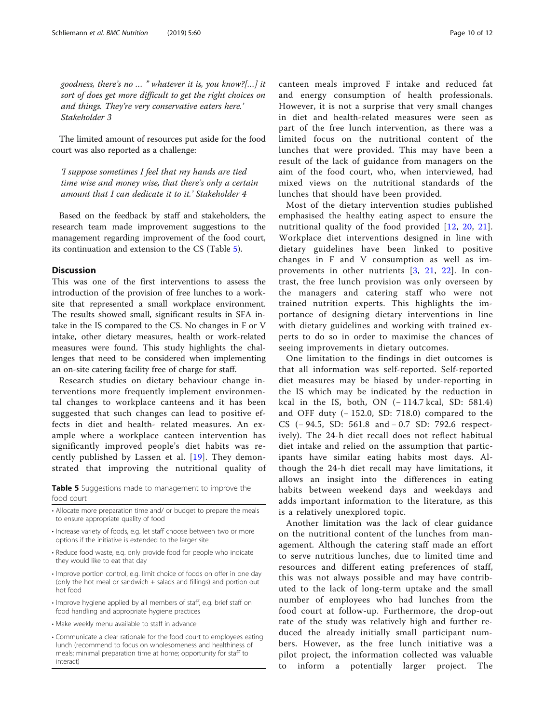goodness, there's no … " whatever it is, you know?[…] it sort of does get more difficult to get the right choices on and things. They're very conservative eaters here.' Stakeholder 3

The limited amount of resources put aside for the food court was also reported as a challenge:

'I suppose sometimes I feel that my hands are tied time wise and money wise, that there's only a certain amount that I can dedicate it to it.' Stakeholder 4

Based on the feedback by staff and stakeholders, the research team made improvement suggestions to the management regarding improvement of the food court, its continuation and extension to the CS (Table 5).

# **Discussion**

This was one of the first interventions to assess the introduction of the provision of free lunches to a worksite that represented a small workplace environment. The results showed small, significant results in SFA intake in the IS compared to the CS. No changes in F or V intake, other dietary measures, health or work-related measures were found. This study highlights the challenges that need to be considered when implementing an on-site catering facility free of charge for staff.

Research studies on dietary behaviour change interventions more frequently implement environmental changes to workplace canteens and it has been suggested that such changes can lead to positive effects in diet and health- related measures. An example where a workplace canteen intervention has significantly improved people's diet habits was recently published by Lassen et al. [[19](#page-11-0)]. They demonstrated that improving the nutritional quality of

Table 5 Suggestions made to management to improve the food court

- Allocate more preparation time and/ or budget to prepare the meals to ensure appropriate quality of food
- Increase variety of foods, e.g. let staff choose between two or more options if the initiative is extended to the larger site
- Reduce food waste, e.g. only provide food for people who indicate they would like to eat that day
- Improve portion control, e.g. limit choice of foods on offer in one day (only the hot meal or sandwich + salads and fillings) and portion out hot food
- Improve hygiene applied by all members of staff, e.g. brief staff on food handling and appropriate hygiene practices
- Make weekly menu available to staff in advance
- Communicate a clear rationale for the food court to employees eating lunch (recommend to focus on wholesomeness and healthiness of meals; minimal preparation time at home; opportunity for staff to interact)

canteen meals improved F intake and reduced fat and energy consumption of health professionals. However, it is not a surprise that very small changes in diet and health-related measures were seen as part of the free lunch intervention, as there was a limited focus on the nutritional content of the lunches that were provided. This may have been a result of the lack of guidance from managers on the aim of the food court, who, when interviewed, had mixed views on the nutritional standards of the lunches that should have been provided.

Most of the dietary intervention studies published emphasised the healthy eating aspect to ensure the nutritional quality of the food provided [[12](#page-11-0), [20](#page-11-0), [21](#page-11-0)]. Workplace diet interventions designed in line with dietary guidelines have been linked to positive changes in F and V consumption as well as improvements in other nutrients [\[3,](#page-11-0) [21,](#page-11-0) [22](#page-11-0)]. In contrast, the free lunch provision was only overseen by the managers and catering staff who were not trained nutrition experts. This highlights the importance of designing dietary interventions in line with dietary guidelines and working with trained experts to do so in order to maximise the chances of seeing improvements in dietary outcomes.

One limitation to the findings in diet outcomes is that all information was self-reported. Self-reported diet measures may be biased by under-reporting in the IS which may be indicated by the reduction in kcal in the IS, both, ON (− 114.7 kcal, SD: 581.4) and OFF duty (− 152.0, SD: 718.0) compared to the CS (− 94.5, SD: 561.8 and − 0.7 SD: 792.6 respectively). The 24-h diet recall does not reflect habitual diet intake and relied on the assumption that participants have similar eating habits most days. Although the 24-h diet recall may have limitations, it allows an insight into the differences in eating habits between weekend days and weekdays and adds important information to the literature, as this is a relatively unexplored topic.

Another limitation was the lack of clear guidance on the nutritional content of the lunches from management. Although the catering staff made an effort to serve nutritious lunches, due to limited time and resources and different eating preferences of staff, this was not always possible and may have contributed to the lack of long-term uptake and the small number of employees who had lunches from the food court at follow-up. Furthermore, the drop-out rate of the study was relatively high and further reduced the already initially small participant numbers. However, as the free lunch initiative was a pilot project, the information collected was valuable to inform a potentially larger project. The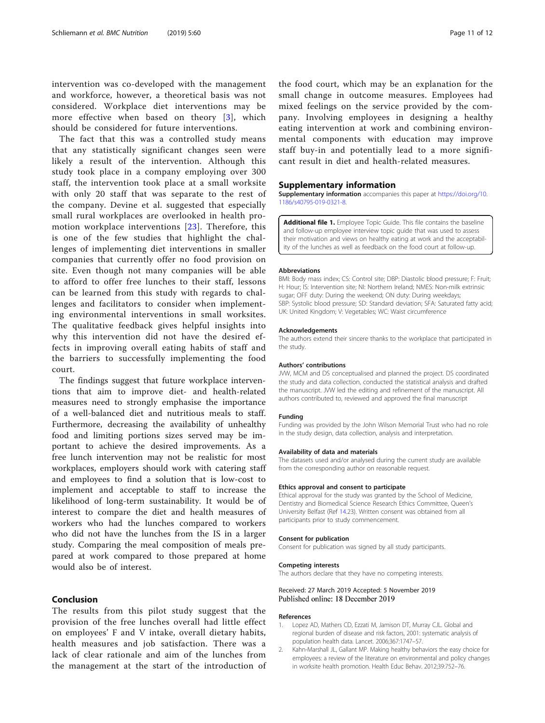<span id="page-10-0"></span>intervention was co-developed with the management and workforce, however, a theoretical basis was not considered. Workplace diet interventions may be more effective when based on theory [[3](#page-11-0)], which should be considered for future interventions.

The fact that this was a controlled study means that any statistically significant changes seen were likely a result of the intervention. Although this study took place in a company employing over 300 staff, the intervention took place at a small worksite with only 20 staff that was separate to the rest of the company. Devine et al. suggested that especially small rural workplaces are overlooked in health promotion workplace interventions [[23](#page-11-0)]. Therefore, this is one of the few studies that highlight the challenges of implementing diet interventions in smaller companies that currently offer no food provision on site. Even though not many companies will be able to afford to offer free lunches to their staff, lessons can be learned from this study with regards to challenges and facilitators to consider when implementing environmental interventions in small worksites. The qualitative feedback gives helpful insights into why this intervention did not have the desired effects in improving overall eating habits of staff and the barriers to successfully implementing the food court.

The findings suggest that future workplace interventions that aim to improve diet- and health-related measures need to strongly emphasise the importance of a well-balanced diet and nutritious meals to staff. Furthermore, decreasing the availability of unhealthy food and limiting portions sizes served may be important to achieve the desired improvements. As a free lunch intervention may not be realistic for most workplaces, employers should work with catering staff and employees to find a solution that is low-cost to implement and acceptable to staff to increase the likelihood of long-term sustainability. It would be of interest to compare the diet and health measures of workers who had the lunches compared to workers who did not have the lunches from the IS in a larger study. Comparing the meal composition of meals prepared at work compared to those prepared at home would also be of interest.

# Conclusion

The results from this pilot study suggest that the provision of the free lunches overall had little effect on employees' F and V intake, overall dietary habits, health measures and job satisfaction. There was a lack of clear rationale and aim of the lunches from the management at the start of the introduction of the food court, which may be an explanation for the small change in outcome measures. Employees had mixed feelings on the service provided by the company. Involving employees in designing a healthy eating intervention at work and combining environmental components with education may improve staff buy-in and potentially lead to a more significant result in diet and health-related measures.

#### Supplementary information

Supplementary information accompanies this paper at [https://doi.org/10.](https://doi.org/10.1186/s40795-019-0321-8) [1186/s40795-019-0321-8.](https://doi.org/10.1186/s40795-019-0321-8)

Additional file 1. Employee Topic Guide. This file contains the baseline and follow-up employee interview topic guide that was used to assess their motivation and views on healthy eating at work and the acceptability of the lunches as well as feedback on the food court at follow-up.

#### Abbreviations

BMI: Body mass index; CS: Control site; DBP: Diastolic blood pressure; F: Fruit; H: Hour; IS: Intervention site; NI: Northern Ireland; NMES: Non-milk extrinsic sugar; OFF duty: During the weekend; ON duty: During weekdays; SBP: Systolic blood pressure; SD: Standard deviation; SFA: Saturated fatty acid; UK: United Kingdom; V: Vegetables; WC: Waist circumference

#### Acknowledgements

The authors extend their sincere thanks to the workplace that participated in the study.

#### Authors' contributions

JVW, MCM and DS conceptualised and planned the project. DS coordinated the study and data collection, conducted the statistical analysis and drafted the manuscript. JVW led the editing and refinement of the manuscript. All authors contributed to, reviewed and approved the final manuscript

#### Funding

Funding was provided by the John Wilson Memorial Trust who had no role in the study design, data collection, analysis and interpretation.

#### Availability of data and materials

The datasets used and/or analysed during the current study are available from the corresponding author on reasonable request.

#### Ethics approval and consent to participate

Ethical approval for the study was granted by the School of Medicine, Dentistry and Biomedical Science Research Ethics Committee, Queen's University Belfast (Ref [14](#page-11-0).23). Written consent was obtained from all participants prior to study commencement.

#### Consent for publication

Consent for publication was signed by all study participants.

#### Competing interests

The authors declare that they have no competing interests.

# Received: 27 March 2019 Accepted: 5 November 2019

#### References

- Lopez AD, Mathers CD, Ezzati M, Jamison DT, Murray CJL. Global and regional burden of disease and risk factors, 2001: systematic analysis of population health data. Lancet. 2006;367:1747–57.
- 2. Kahn-Marshall JL, Gallant MP. Making healthy behaviors the easy choice for employees: a review of the literature on environmental and policy changes in worksite health promotion. Health Educ Behav. 2012;39:752–76.